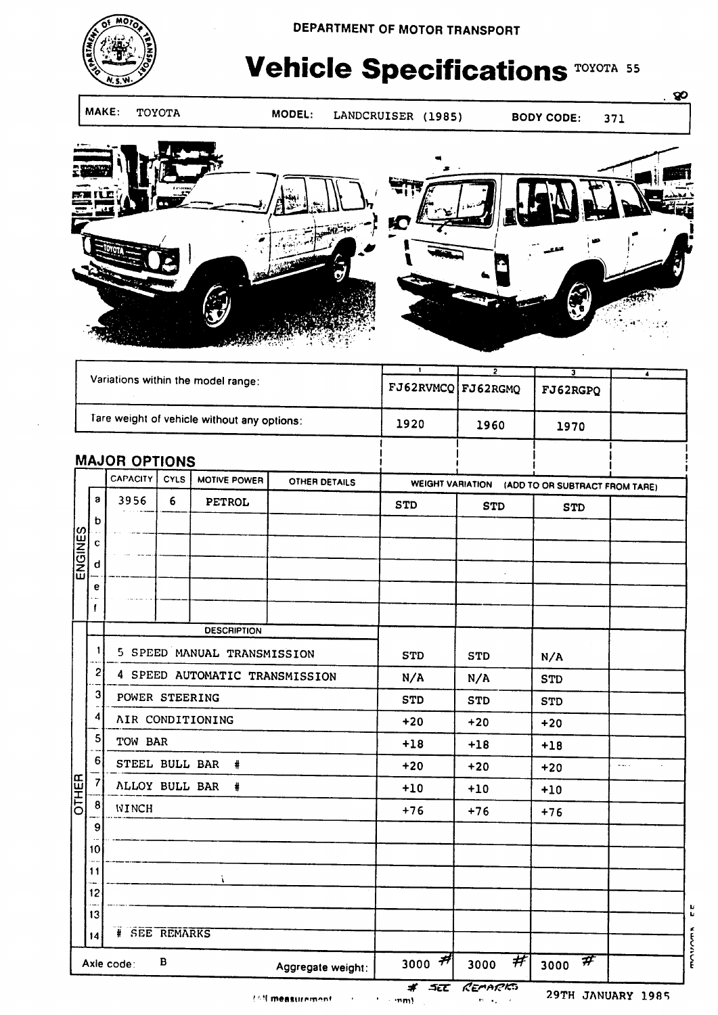

# **Vehicle Specifications TOYOTA 55**

MAKE: TOYOTA MODEL:

LANDCRUISER (1985)

371

 $80$ 



|                                      |                                                                                                                                          | $\mathbf{1}$       | <u>2</u>                                                                    | $\overline{\mathbf{J}}$                                                       | $\overline{\bullet}$ |                                            |                        |  |
|--------------------------------------|------------------------------------------------------------------------------------------------------------------------------------------|--------------------|-----------------------------------------------------------------------------|-------------------------------------------------------------------------------|----------------------|--------------------------------------------|------------------------|--|
|                                      |                                                                                                                                          |                    |                                                                             |                                                                               |                      | FJ62RGPQ                                   |                        |  |
|                                      |                                                                                                                                          |                    |                                                                             | 1920                                                                          | 1960                 | 1970                                       |                        |  |
|                                      |                                                                                                                                          |                    |                                                                             |                                                                               |                      |                                            |                        |  |
|                                      | <b>CYLS</b>                                                                                                                              | MOTIVE POWER       | OTHER DETAILS                                                               | WEIGHT VARIATION (ADD TO OR SUBTRACT FROM TARE)                               |                      |                                            |                        |  |
| 3956                                 | $6\,$<br>PETROL                                                                                                                          |                    |                                                                             |                                                                               | <b>STD</b>           |                                            |                        |  |
|                                      |                                                                                                                                          |                    |                                                                             |                                                                               |                      |                                            |                        |  |
|                                      |                                                                                                                                          |                    |                                                                             |                                                                               |                      |                                            |                        |  |
|                                      |                                                                                                                                          |                    |                                                                             |                                                                               |                      |                                            |                        |  |
|                                      |                                                                                                                                          |                    |                                                                             |                                                                               |                      |                                            |                        |  |
|                                      |                                                                                                                                          |                    |                                                                             |                                                                               |                      |                                            |                        |  |
|                                      |                                                                                                                                          | <b>DESCRIPTION</b> |                                                                             |                                                                               |                      |                                            |                        |  |
| 5 SPEED MANUAL TRANSMISSION          |                                                                                                                                          |                    |                                                                             | <b>STD</b>                                                                    | <b>STD</b>           | N/A                                        |                        |  |
|                                      |                                                                                                                                          |                    |                                                                             | N/A                                                                           | N/A                  | <b>STD</b>                                 |                        |  |
|                                      | POWER STEERING                                                                                                                           |                    |                                                                             | <b>STD</b>                                                                    | <b>STD</b>           | <b>STD</b>                                 |                        |  |
|                                      | AIR CONDITIONING                                                                                                                         |                    |                                                                             | $+20$                                                                         | $+20$                | $+20$                                      |                        |  |
|                                      | TOW BAR                                                                                                                                  |                    |                                                                             | $+18$                                                                         | $+18$                | $+18$                                      |                        |  |
|                                      | STEEL BULL BAR<br>#                                                                                                                      |                    |                                                                             | $+20$                                                                         | $+20$                | $+20$                                      | $\omega$ and $\omega$  |  |
|                                      | ALLOY BULL BAR<br>#                                                                                                                      |                    |                                                                             | $+10$                                                                         | $+10$                | $+10$                                      |                        |  |
| WINCH                                |                                                                                                                                          |                    |                                                                             | $+76$                                                                         | $+76$                | $+76$                                      |                        |  |
|                                      |                                                                                                                                          |                    |                                                                             |                                                                               |                      |                                            |                        |  |
|                                      |                                                                                                                                          |                    |                                                                             |                                                                               |                      |                                            |                        |  |
|                                      |                                                                                                                                          | À                  |                                                                             |                                                                               |                      |                                            |                        |  |
|                                      |                                                                                                                                          |                    |                                                                             |                                                                               |                      |                                            |                        |  |
|                                      |                                                                                                                                          |                    |                                                                             |                                                                               |                      |                                            |                        |  |
| 14                                   |                                                                                                                                          |                    |                                                                             |                                                                               |                      |                                            |                        |  |
| в<br>Axie code:<br>Aggregate weight: |                                                                                                                                          |                    | 3000 $#$                                                                    | #<br>3000                                                                     |                      |                                            |                        |  |
| 11                                   | <b>CAPACITY</b><br>a<br>b<br>$\mathbf c$<br>d<br>е<br>1<br>2<br>3<br>4<br>5<br>6<br>$\overline{\mathcal{L}}$<br>8<br>9<br>10<br>12<br>13 |                    | Variations within the model range:<br><b>MAJOR OPTIONS</b><br># SEE REMARKS | Tare weight of vehicle without any options:<br>4 SPEED AUTOMATIC TRANSMISSION | <b>STD</b>           | FJ62RVMCQ FJ62RGMQ<br><b>* SIT CEMARKS</b> | <b>STD</b><br>3000 $#$ |  |